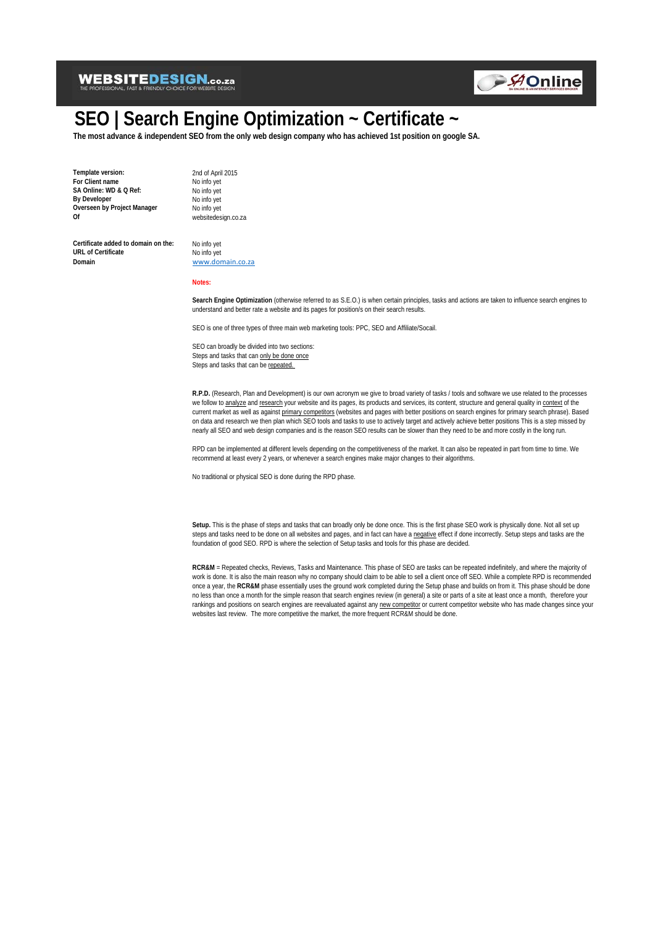

# **SEO | Search Engine Optimization ~ Certificate ~**

**The most advance & independent SEO from the only web design company who has achieved 1st position on google SA.**

**Template version:** 2nd of April 2015<br> **For Client name** No info yet **For Client name** No info yet<br> **SA Online:** WD & O Ref: No info yet **SA Online: WD & Q Ref:** No info yet<br> **By Developer** No info yet **By Developer** No info yet<br> **Overseen by Project Manager** No info yet **Overseen by Project Manager**<br>Of

**Of** websitedesign.co.za

Certificate added to domain on the: No info yet **URL of Certificate** No info yet<br> **Domain** Nowward O

[www.domain.co.za](http://www.domain.co.za/)

**Notes:**

**Search Engine Optimization** (otherwise referred to as S.E.O.) is when certain principles, tasks and actions are taken to influence search engines to understand and better rate a website and its pages for position/s on their search results.

SEO is one of three types of three main web marketing tools: PPC, SEO and Affiliate/Socail.

SEO can broadly be divided into two sections: Steps and tasks that can only be done once Steps and tasks that can be repeated.

**R.P.D.** (Research, Plan and Development) is our own acronym we give to broad variety of tasks / tools and software we use related to the processes we follow to analyze and research your website and its pages, its products and services, its content, structure and general quality in context of the current market as well as against primary competitors (websites and pages with better positions on search engines for primary search phrase). Based on data and research we then plan which SEO tools and tasks to use to actively target and actively achieve better positions This is a step missed by nearly all SEO and web design companies and is the reason SEO results can be slower than they need to be and more costly in the long run.

RPD can be implemented at different levels depending on the competitiveness of the market. It can also be repeated in part from time to time. We recommend at least every 2 years, or whenever a search engines make major changes to their algorithms.

No traditional or physical SEO is done during the RPD phase.

Setup. This is the phase of steps and tasks that can broadly only be done once. This is the first phase SEO work is physically done. Not all set up steps and tasks need to be done on all websites and pages, and in fact can have a negative effect if done incorrectly. Setup steps and tasks are the foundation of good SEO. RPD is where the selection of Setup tasks and tools for this phase are decided.

**RCR&M** = Repeated checks, Reviews, Tasks and Maintenance. This phase of SEO are tasks can be repeated indefinitely, and where the majority of work is done. It is also the main reason why no company should claim to be able to sell a client once off SEO. While a complete RPD is recommended once a year, the **RCR&M** phase essentially uses the ground work completed during the Setup phase and builds on from it. This phase should be done no less than once a month for the simple reason that search engines review (in general) a site or parts of a site at least once a month, therefore your rankings and positions on search engines are reevaluated against any new competitor or current competitor website who has made changes since your websites last review. The more competitive the market, the more frequent RCR&M should be done.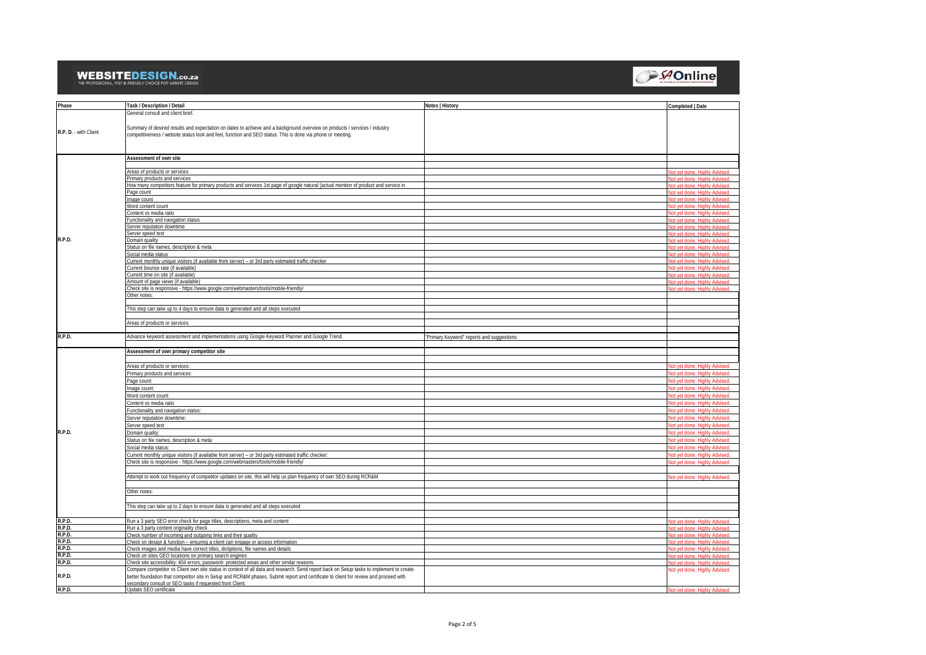

| Phase                 | Task / Description / Detail                                                                                                                                                                       | Notes   History                            | Completed   Date                                             |
|-----------------------|---------------------------------------------------------------------------------------------------------------------------------------------------------------------------------------------------|--------------------------------------------|--------------------------------------------------------------|
|                       | General consult and client brief.                                                                                                                                                                 |                                            |                                                              |
|                       |                                                                                                                                                                                                   |                                            |                                                              |
| R.P. D. - with Client | Summary of desired results and expectation on dates to achieve and a background overview on products / services / industry                                                                        |                                            |                                                              |
|                       | competitiveness / website status look and feel, function and SEO status. This is done via phone or meeting.                                                                                       |                                            |                                                              |
|                       |                                                                                                                                                                                                   |                                            |                                                              |
|                       |                                                                                                                                                                                                   |                                            |                                                              |
|                       | Assessment of own site                                                                                                                                                                            |                                            |                                                              |
|                       | Areas of products or services                                                                                                                                                                     |                                            | of vot dono. Highly Advisod                                  |
|                       | Primary products and services                                                                                                                                                                     |                                            | of vot dono. Highly Advisor                                  |
|                       | How many competitors feature for primary products and services 1st page of google natural (actual mention of product and service in                                                               |                                            | <b>Lliabhy Advisord</b>                                      |
|                       | Page count                                                                                                                                                                                        |                                            |                                                              |
|                       | Image count                                                                                                                                                                                       |                                            |                                                              |
|                       | Word content count                                                                                                                                                                                |                                            |                                                              |
|                       | Content vs media ratio                                                                                                                                                                            |                                            | it vet done. Highli                                          |
|                       | Functionality and navigation status                                                                                                                                                               |                                            | it vet done.                                                 |
|                       | Server reputation downtime<br>Server speed test                                                                                                                                                   |                                            | ot vet done.<br>lot yet done. Highly Advised                 |
| R.P.D.                | Domain quality                                                                                                                                                                                    |                                            | <b>Jot vet done Highly Advised</b>                           |
|                       | Status on file names, description & meta                                                                                                                                                          |                                            | Int vet done. Highly Advised                                 |
|                       | Social media status                                                                                                                                                                               |                                            | <b>Jot vet done Highly Advised</b>                           |
|                       | Current monthly unique visitors (if available from server) - or 3rd party estimated traffic checker                                                                                               |                                            | haziyha yidniH annh tay tol                                  |
|                       | Current bounce rate (if available)                                                                                                                                                                |                                            | of yot don                                                   |
|                       | Current time on site (if available)                                                                                                                                                               |                                            | ot vet done. Highly Advised<br>Highly Advisor<br>of yot done |
|                       | Amount of page views (if available)<br>Check site is responsive - https://www.google.com/webmasters/tools/mobile-friendly/                                                                        |                                            |                                                              |
|                       | Other notes:                                                                                                                                                                                      |                                            |                                                              |
|                       |                                                                                                                                                                                                   |                                            |                                                              |
|                       | This step can take up to 4 days to ensure data is generated and all steps executed                                                                                                                |                                            |                                                              |
|                       |                                                                                                                                                                                                   |                                            |                                                              |
|                       | Areas of products or services                                                                                                                                                                     |                                            |                                                              |
| R.P.D.                | Advance keyword assessment and implementations using Google Keyword Planner and Google Trend.                                                                                                     |                                            |                                                              |
|                       |                                                                                                                                                                                                   |                                            |                                                              |
|                       |                                                                                                                                                                                                   | "Primary Keyword" reports and suggestions: |                                                              |
|                       |                                                                                                                                                                                                   |                                            |                                                              |
|                       | Assessment of own primary competitor site                                                                                                                                                         |                                            |                                                              |
|                       |                                                                                                                                                                                                   |                                            |                                                              |
|                       | Areas of products or services:                                                                                                                                                                    |                                            | Not vet done. Highly Advised<br>of yet done. Highly Advised  |
|                       | Primary products and services:<br>Page count                                                                                                                                                      |                                            | ot vot done                                                  |
|                       | mage count:                                                                                                                                                                                       |                                            | t vet done. Highly                                           |
|                       | Word content count:                                                                                                                                                                               |                                            | lot yet done. Highly Advised.                                |
|                       | Content vs media ratio                                                                                                                                                                            |                                            | Vot yet done. Highly Advised.                                |
|                       | Functionality and navigation status:                                                                                                                                                              |                                            | lot vet done. Highly Advised                                 |
|                       | Server reputation downtime:                                                                                                                                                                       |                                            | Vot vet done. Highly Advised                                 |
|                       | Server speed test                                                                                                                                                                                 |                                            | lot yet done. Highly Advised                                 |
| R.P.D.                | Domain quality:                                                                                                                                                                                   |                                            | Not vet done. Highly Advised.                                |
|                       | Status on file names, description & meta:                                                                                                                                                         |                                            | lot vet done. Highly Advised                                 |
|                       | Social media status:                                                                                                                                                                              |                                            | lot yet done. Highly Advised                                 |
|                       | Current monthly unique visitors (if available from server) - or 3rd party estimated traffic checker:                                                                                              |                                            | lot yet done. Highly Advised                                 |
|                       | Check site is responsive - https://www.google.com/webmasters/tools/mobile-friendly/                                                                                                               |                                            | Not vet done. Highly Advised.                                |
|                       |                                                                                                                                                                                                   |                                            |                                                              |
|                       | Attempt to work out frequency of competitor updates on site, this will help us plan frequency of own SEO during RCR&M                                                                             |                                            | Vot vet done. Highly Advise                                  |
|                       |                                                                                                                                                                                                   |                                            |                                                              |
|                       | Other notes:                                                                                                                                                                                      |                                            |                                                              |
|                       |                                                                                                                                                                                                   |                                            |                                                              |
|                       | This step can take up to 2 days to ensure data is generated and all steps executed                                                                                                                |                                            |                                                              |
| R.P.D.                | Run a 3 party SEO error check for page titles, descriptions, meta and content                                                                                                                     |                                            | it yet done. Highly Advised                                  |
| R.P.D.                | Run a 3 party content originality check                                                                                                                                                           |                                            | ot vet done. Highly Advised                                  |
| R.P.D.                | Check number of incoming and outgoing links and their quality                                                                                                                                     |                                            | lot vet done. Highly Advised.                                |
| R.P.D.                | Check on design & function - ensuring a client can engage or access information                                                                                                                   |                                            | Not vet done. Highly Advised.                                |
| R.P.D.                | Check images and media have correct titles, dictiptions, file names and details                                                                                                                   |                                            | Not vet done. Highly Advised.                                |
| R.P.D.                | Check on sites GEO locations on primary search engines                                                                                                                                            |                                            | Not vet done. Highly Advised                                 |
| R.P.D.                | Check site accessibility: 404 errors, password- protected areas and other similar reasons                                                                                                         |                                            | Vot vet done. Highly Advised.                                |
|                       | Compare competitor vs Client own site status in context of all data and research. Send report back on Setup tasks to implement to create                                                          |                                            | Not yet done. Highly Advised.                                |
| R.P.D.                | better foundation that competitor site in Setup and RCR&M phases. Submit report and certificate to client for review and proceed with<br>secondary consult or SEO tasks if requested from Client. |                                            |                                                              |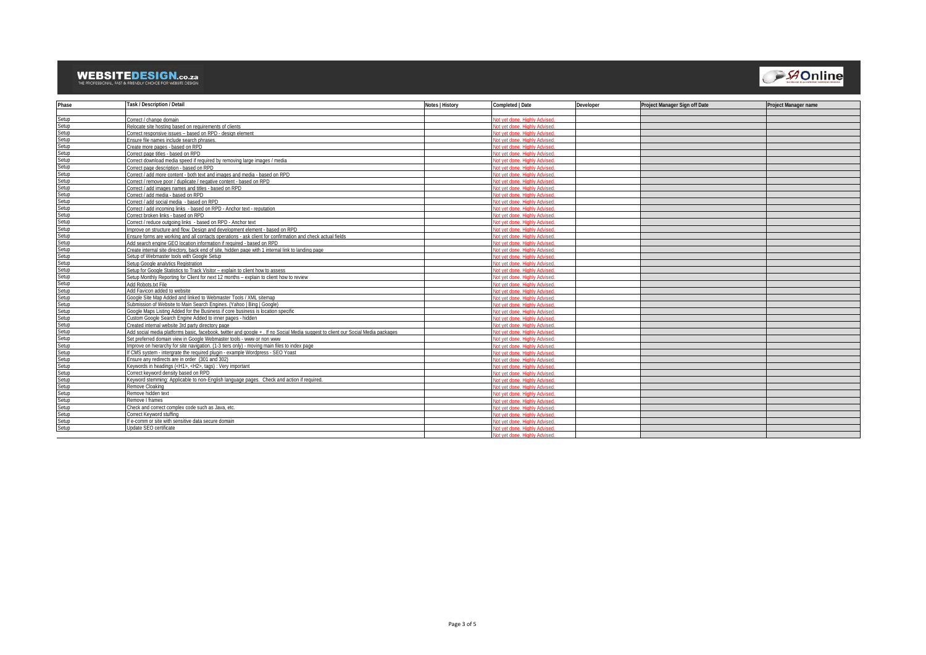

| Phase | Task / Description / Detail                                                                                                      | Notes   History | Completed   Date             | Developer | Project Manager Sign off Date | <b>Project Manager name</b> |
|-------|----------------------------------------------------------------------------------------------------------------------------------|-----------------|------------------------------|-----------|-------------------------------|-----------------------------|
|       |                                                                                                                                  |                 |                              |           |                               |                             |
| Setup | Correct / change domain                                                                                                          |                 | aziybA yldniH qanb tev ta    |           |                               |                             |
| Setup | Relocate site bosting based on requirements of clients                                                                           |                 | hepivhå vidniH agnh tav to   |           |                               |                             |
| Setup | Correct responsive issues - based on RPD - design element                                                                        |                 | in the Highly Advised        |           |                               |                             |
| Setup | Ensure file names include search phrases.                                                                                        |                 | at vet dane. Highly Advised  |           |                               |                             |
| Setup | Create more pages - based on RPD                                                                                                 |                 | aziyba yidniH anob tay to    |           |                               |                             |
| Setup | Correct page titles - based on RPD                                                                                               |                 | nt vet done. Highly Advised  |           |                               |                             |
| Setup | Correct download media speed if required by removing large images / media                                                        |                 | of vet done. Highly Adviser  |           |                               |                             |
| Setup | Correct page description - based on RPD                                                                                          |                 | aziyba yidniH anob tay to    |           |                               |                             |
| Setup | Correct / add more content - both text and images and media - based on RPD                                                       |                 | nt vet done. Highly Advised  |           |                               |                             |
| Setup | Correct / remove poor / duplicate / negative content - based on RPD                                                              |                 | of vet done. Highly Advised  |           |                               |                             |
| Setup | Correct / add images names and titles - based on RPD                                                                             |                 | aziybû yidniH anab tay ta    |           |                               |                             |
| Setup | Correct / add media - based on RPD                                                                                               |                 | of vet done. Highly Adviser  |           |                               |                             |
| Setup | Correct / add social media - based on RPD                                                                                        |                 | lot vet done. Highly Advised |           |                               |                             |
| Setup | Correct / add incoming links - based on RPD - Anchor text - reputation                                                           |                 | azivbA vidniH anob tev to    |           |                               |                             |
| Setup | Correct broken links - based on RPD                                                                                              |                 | of yet done. Highly Advised  |           |                               |                             |
| Setup | Correct / reduce outgoing links - based on RPD - Anchor text                                                                     |                 | nt vet done. Highly Advised  |           |                               |                             |
| Setup | Improve on structure and flow. Design and development element - based on RPD                                                     |                 | azivbA vidniH anob tev to    |           |                               |                             |
| Setup | Ensure forms are working and all contacts operations - ask client for confirmation and check actual fields                       |                 | lot vet done. Highly Advised |           |                               |                             |
| Setup | Add search engine GEO location information if reguired - based on RPD                                                            |                 | nt vet done. Highly Adviser  |           |                               |                             |
| Setup | Create internal site directory, back end of site, hidden page with 1 internal link to landing page                               |                 | ot vet done. Highly Advised  |           |                               |                             |
| Setup | Setup of Webmaster tools with Google Setup                                                                                       |                 | of vet done. Highly Adviser  |           |                               |                             |
| Setup | Setup Google analytics Registration                                                                                              |                 | azivbA vldniH annh tav tr    |           |                               |                             |
| Setup | Setup for Google Statistics to Track Visitor - explain to client how to assess                                                   |                 | of vet done. Highly Advised  |           |                               |                             |
| Setup | Setup Monthly Reporting for Client for next 12 months - explain to client how to review                                          |                 | azivbA vldniH, annh tav tr   |           |                               |                             |
| Setup | Add Robots txt File                                                                                                              |                 | hezivhA vldniH egoh tev to   |           |                               |                             |
| Setup | Add Favicon added to website                                                                                                     |                 | at vet done. Highly Adviser  |           |                               |                             |
| Setup | Google Site Map Added and linked to Webmaster Tools / XML sitemap                                                                |                 | of vet done. Highly Advised  |           |                               |                             |
| Setup | Submission of Website to Main Search Engines, (Yahoo   Bing   Google)                                                            |                 | t vot done. Highly Adviser   |           |                               |                             |
| Setup | Google Maps Listing Added for the Business if core business is location specific                                                 |                 | at vet done. Highly Advised  |           |                               |                             |
| Setup | Custom Google Search Engine Added to inner pages - hidden                                                                        |                 | ezivbA vidniH anob tav to    |           |                               |                             |
| Setup | Created internal website 3rd party directory page                                                                                |                 | azivbA vldniH annh tav tr    |           |                               |                             |
| Setup | Add social media platforms basic, facebook, twitter and google +, If no Social Media suggest to client our Social Media packages |                 | in the Highly Adviser        |           |                               |                             |
| Setup | Set preferred domain view in Google Webmaster tools - www or non www                                                             |                 | at vet done. Highly Advised  |           |                               |                             |
| Setup | Improve on hierarchy for site navigation. (1-3 tiers only) - moving main files to index page                                     |                 | azivbA vidniH anob tev to    |           |                               |                             |
| Setup | If CMS system - intergrate the required plugin - example Wordpress - SEO Yoast                                                   |                 | hezivhA vldniH annh tev to   |           |                               |                             |
| Setup | Ensure any redirects are in order (301 and 302)                                                                                  |                 | azivbA vldniH anob tev to    |           |                               |                             |
| Setup | Keywords in headings ( <h1>, <h2>, tags) : Very important</h2></h1>                                                              |                 | of yet done. Highly Advised  |           |                               |                             |
| Setup | Correct keyword density based on RPD                                                                                             |                 | of vet done. Highly Adviser  |           |                               |                             |
| Setup | Keyword stemming: Applicable to non-English language pages. Check and action if required.                                        |                 | hopivhå vidniH, annh tav to  |           |                               |                             |
| Setup | Remove Cloaking                                                                                                                  |                 | in the Highly Adviser        |           |                               |                             |
| Setup | Remove hidden text                                                                                                               |                 | nt vet done. Highly Advised  |           |                               |                             |
| Setup | Remove I frames                                                                                                                  |                 | at yot dono. Highly Advisor  |           |                               |                             |
| Setup | Check and correct complex code such as Java, etc.                                                                                |                 | of vet done. Highly Advised  |           |                               |                             |
| Setup | Correct Keyword stuffing                                                                                                         |                 | nt vet done. Highly Advised  |           |                               |                             |
| Setup | If e-comm or site with sensitive data secure domain                                                                              |                 | aziyah yidniH agah tay te    |           |                               |                             |
| Setup | Undate SEO certificate                                                                                                           |                 | of vet done. Highly Advised  |           |                               |                             |
|       |                                                                                                                                  |                 | ot vet done. Highly Advised  |           |                               |                             |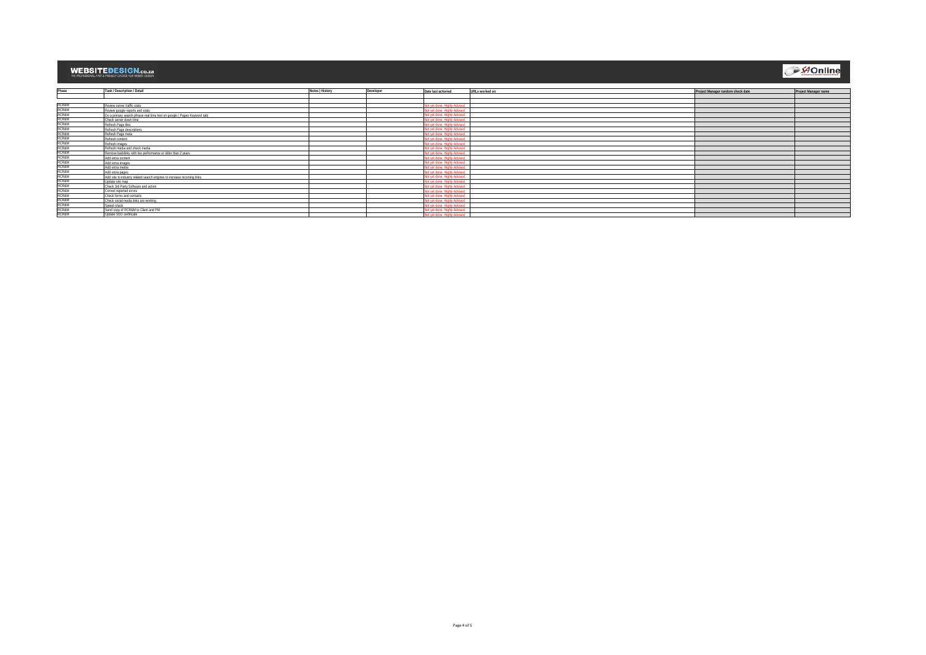**AOnline** 

| Phase                     | Task / Description / Detail                                              | Notes   History | Developer | Date last actioned            | URLs worked on | Project Manager random check date | Project Manager name |
|---------------------------|--------------------------------------------------------------------------|-----------------|-----------|-------------------------------|----------------|-----------------------------------|----------------------|
|                           |                                                                          |                 |           |                               |                |                                   |                      |
|                           |                                                                          |                 |           |                               |                |                                   |                      |
|                           | Review server traffic stats                                              |                 |           | lot vet done. Highly Advised  |                |                                   |                      |
| RCR&M<br>RCR&M            | Review google reports and stats                                          |                 |           | Not vet done. Highly Advised  |                |                                   |                      |
| <b>RCR&amp;M</b><br>RCR&M | Do a primary search phrase real time test on google ( Pages Keyword tab) |                 |           | Not vet done. Highly Advised  |                |                                   |                      |
|                           | Check server down time                                                   |                 |           | Not vet done. Highly Advised  |                |                                   |                      |
| <b>RCR&amp;M</b><br>RCR&M | Refresh Page tiles                                                       |                 |           | Not vet done. Highly Advised  |                |                                   |                      |
|                           | Refresh Page descriptions                                                |                 |           | Not vet done. Highly Advised  |                |                                   |                      |
| <b>RCR&amp;M</b><br>RCR&M | Refresh Page meta                                                        |                 |           | Not yet done. Highly Advised  |                |                                   |                      |
|                           | Refresh content                                                          |                 |           | Not yet done. Highly Advised  |                |                                   |                      |
| <b>RCR&amp;M</b><br>RCR&M | Refresh images                                                           |                 |           | Not vet done. Highly Advised  |                |                                   |                      |
|                           | Refresh media and check media                                            |                 |           | Not vet done. Highly Advised. |                |                                   |                      |
| <b>RCR&amp;M</b>          | Remove backlinks with low performance or older than 2 years              |                 |           | Not vet done. Highly Adviser  |                |                                   |                      |
| <b>RCR&amp;M</b><br>RCR&M | Add extra content                                                        |                 |           | Not vet done. Highly Advised  |                |                                   |                      |
|                           | Add extra images                                                         |                 |           | Not vet done. Highly Advised. |                |                                   |                      |
| RCR&M<br>RCR&M            | Add extra media                                                          |                 |           | Not yet done Highly Advised   |                |                                   |                      |
|                           | Add extra pages                                                          |                 |           | Not vet done. Highly Advised. |                |                                   |                      |
| RCR&M<br>RCR&M<br>RCR&M   | Add site to industry related search engines to increase incoming links   |                 |           | Not vet done. Highly Advised  |                |                                   |                      |
|                           | Update site map                                                          |                 |           | Not vet done. Highly Advised  |                |                                   |                      |
|                           | Check 3rd Party Software and action                                      |                 |           | Not vet done. Highly Adviser  |                |                                   |                      |
| <b>RCR&amp;M</b>          | Correct reported errors                                                  |                 |           | Not vet done. Highly Advised  |                |                                   |                      |
| <b>RCR&amp;M</b>          | Check forms and contacts                                                 |                 |           | Not vet done. Highly Advised  |                |                                   |                      |
| <b>RCR&amp;M</b>          | Check social media links are working                                     |                 |           | Not vet done. Highly Advised  |                |                                   |                      |
| <b>RCR&amp;M</b>          | Speed check                                                              |                 |           | Not vet done. Highly Advised  |                |                                   |                      |
| <b>RCR&amp;M</b>          | Send copy of RCR&M to Client and PM                                      |                 |           | Not vet done. Highly Advised. |                |                                   |                      |
| <b>RCR&amp;M</b>          | Update SEO certificate                                                   |                 |           | Not vet done. Highly Advised. |                |                                   |                      |